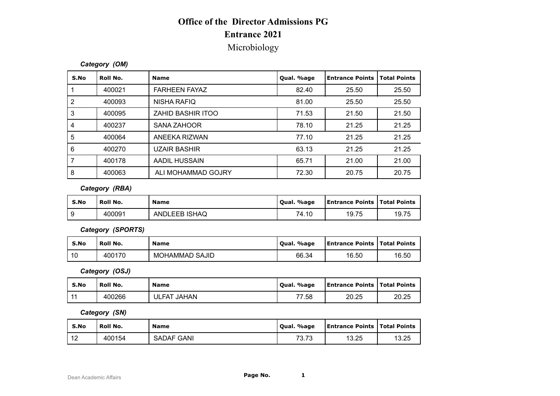# **Office of the Director Admissions PG Entrance 2021**

### Microbiology

#### *Category (OM)*

|                  |                   | <b>Office of the Director Admissions PG</b> |            |                        |                     |
|------------------|-------------------|---------------------------------------------|------------|------------------------|---------------------|
|                  |                   | <b>Entrance 2021</b>                        |            |                        |                     |
|                  |                   | Microbiology                                |            |                        |                     |
|                  |                   |                                             |            |                        |                     |
|                  | Category (OM)     |                                             |            |                        |                     |
| S.No             | Roll No.          | <b>Name</b>                                 | Qual. %age | <b>Entrance Points</b> | <b>Total Points</b> |
| $\mathbf{1}$     | 400021            | <b>FARHEEN FAYAZ</b>                        | 82.40      | 25.50                  | 25.50               |
| $\sqrt{2}$       | 400093            | <b>NISHA RAFIQ</b>                          | 81.00      | 25.50                  | 25.50               |
| $\mathfrak{3}$   | 400095            | ZAHID BASHIR ITOO                           | 71.53      | 21.50                  | 21.50               |
| $\overline{4}$   | 400237            | <b>SANA ZAHOOR</b>                          | 78.10      | 21.25                  | 21.25               |
| $\sqrt{5}$       | 400064            | ANEEKA RIZWAN                               | 77.10      | 21.25                  | 21.25               |
| $\,6\,$          | 400270            | <b>UZAIR BASHIR</b>                         | 63.13      | 21.25                  | 21.25               |
| $\overline{7}$   | 400178            | <b>AADIL HUSSAIN</b>                        | 65.71      | 21.00                  | 21.00               |
| $\bf 8$          | 400063            | ALI MOHAMMAD GOJRY                          | 72.30      | 20.75                  | 20.75               |
|                  | Category (RBA)    |                                             |            |                        |                     |
| S.No             | Roll No.          | <b>Name</b>                                 | Qual. %age | <b>Entrance Points</b> | <b>Total Points</b> |
| $\boldsymbol{9}$ | 400091            | ANDLEEB ISHAQ                               | 74.10      | 19.75                  | 19.75               |
|                  | Category (SPORTS) |                                             |            |                        |                     |
| S.No             | Roll No.          | <b>Name</b>                                 | Qual. %age | <b>Entrance Points</b> | <b>Total Points</b> |
| 10               | 400170            | <b>MOHAMMAD SAJID</b>                       | 66.34      | 16.50                  | 16.50               |
|                  | Category (OSJ)    |                                             |            |                        |                     |
|                  |                   |                                             |            |                        |                     |

#### *Category (RBA)*

| 7    | 400178            | AADIL HUSSAIN         | 65.71      | 21.00                  | 21.00               |
|------|-------------------|-----------------------|------------|------------------------|---------------------|
| 8    | 400063            | ALI MOHAMMAD GOJRY    | 72.30      | 20.75                  | 20.75               |
|      | Category (RBA)    |                       |            |                        |                     |
| S.No | Roll No.          | <b>Name</b>           | Qual. %age | <b>Entrance Points</b> | <b>Total Points</b> |
| 9    | 400091            | ANDLEEB ISHAQ         | 74.10      | 19.75                  | 19.75               |
|      | Category (SPORTS) |                       |            |                        |                     |
| S.No | Roll No.          | <b>Name</b>           | Qual. %age | <b>Entrance Points</b> | <b>Total Points</b> |
| 10   | 400170            | <b>MOHAMMAD SAJID</b> | 66.34      | 16.50                  | 16.50               |
|      | Category (OSJ)    |                       |            |                        |                     |
| S.No | Roll No.          | <b>Name</b>           | Qual. %age | <b>Entrance Points</b> | <b>Total Points</b> |
| 11   | 400266            | <b>ULFAT JAHAN</b>    | 77.58      | 20.25                  | 20.25               |
|      | Category (SN)     |                       |            |                        |                     |
|      |                   |                       |            |                        |                     |

| S.No | Roll No.          | <b>Name</b>           | Qual. %age | <b>Entrance Points   Total Points</b> |       |
|------|-------------------|-----------------------|------------|---------------------------------------|-------|
| 9    | 400091            | ANDLEEB ISHAQ         | 74.10      | 19.75                                 | 19.75 |
|      | Category (SPORTS) |                       |            |                                       |       |
| S.No | Roll No.          | <b>Name</b>           | Qual. %age | <b>Entrance Points   Total Points</b> |       |
| 10   | 400170            | <b>MOHAMMAD SAJID</b> | 66.34      | 16.50                                 | 16.50 |
|      | Category (OSJ)    |                       |            |                                       |       |
| S.No | Roll No.          | <b>Name</b>           | Qual. %age | <b>Entrance Points   Total Points</b> |       |
| 11   | 400266            | <b>ULFAT JAHAN</b>    | 77.58      | 20.25                                 | 20.25 |

| S.No  | Roll No. | <b>Name</b> | Oual. %age | <b>Entrance Points   Total Points</b> |       |
|-------|----------|-------------|------------|---------------------------------------|-------|
| $-11$ | 400266   | ULFAT JAHAN | 77.58      | 20.25                                 | 20.25 |

| S.No | Roll No.       | <b>Name</b>           | Qual. %age | <b>Entrance Points</b> | <b>Total Points</b> |
|------|----------------|-----------------------|------------|------------------------|---------------------|
| 10   | 400170         | <b>MOHAMMAD SAJID</b> | 66.34      | 16.50                  | 16.50               |
|      | Category (OSJ) |                       |            |                        |                     |
| S.No | Roll No.       | <b>Name</b>           | Qual. %age | <b>Entrance Points</b> | <b>Total Points</b> |
| 11   | 400266         | <b>ULFAT JAHAN</b>    | 77.58      | 20.25                  | 20.25               |
|      | Category (SN)  |                       |            |                        |                     |
| S.No | Roll No.       | <b>Name</b>           | Qual. %age | <b>Entrance Points</b> | <b>Total Points</b> |
| 12   | 400154         | <b>SADAF GANI</b>     | 73.73      | 13.25                  | 13.25               |